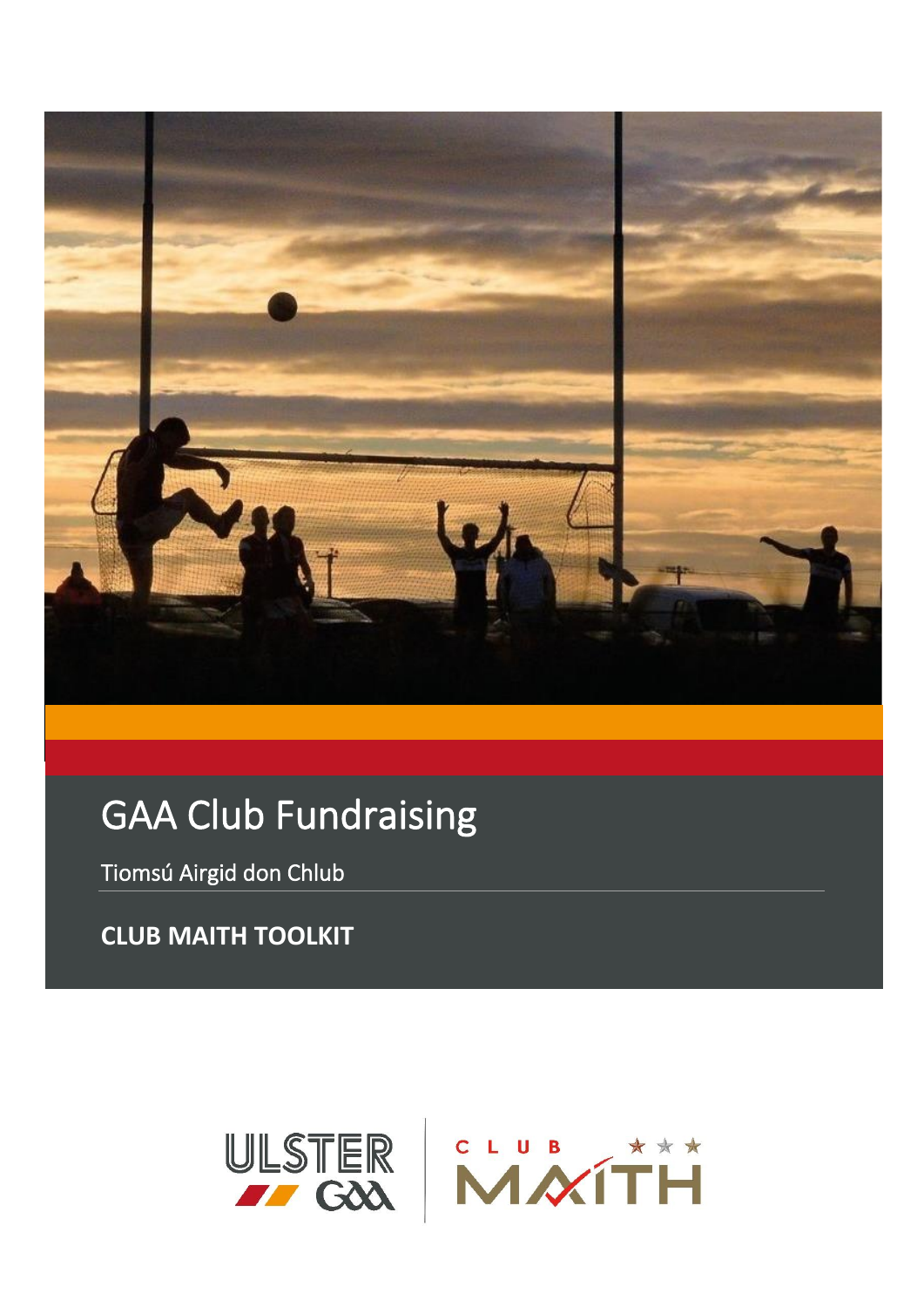

# **GAA Club Fundraising**

Tiomsú Airgid don Chlub

**CLUB MAITH TOOLKIT** 

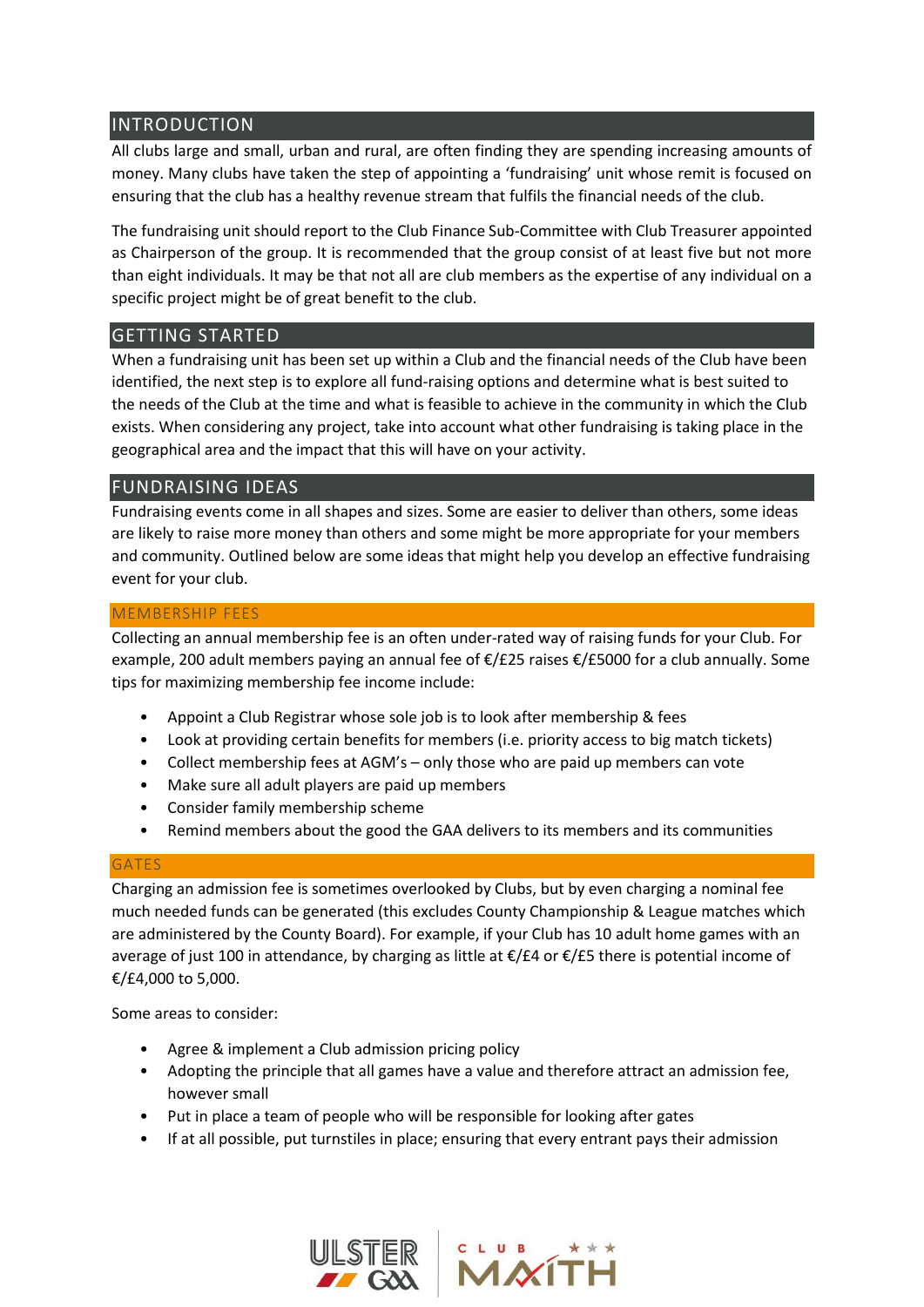## INTRODUCTION

All clubs large and small, urban and rural, are often finding they are spending increasing amounts of money. Many clubs have taken the step of appointing a 'fundraising' unit whose remit is focused on ensuring that the club has a healthy revenue stream that fulfils the financial needs of the club.

The fundraising unit should report to the Club Finance Sub-Committee with Club Treasurer appointed as Chairperson of the group. It is recommended that the group consist of at least five but not more than eight individuals. It may be that not all are club members as the expertise of any individual on a specific project might be of great benefit to the club.

## GETTING STARTED

When a fundraising unit has been set up within a Club and the financial needs of the Club have been identified, the next step is to explore all fund-raising options and determine what is best suited to the needs of the Club at the time and what is feasible to achieve in the community in which the Club exists. When considering any project, take into account what other fundraising is taking place in the geographical area and the impact that this will have on your activity.

## FUNDRAISING IDEAS

Fundraising events come in all shapes and sizes. Some are easier to deliver than others, some ideas are likely to raise more money than others and some might be more appropriate for your members and community. Outlined below are some ideas that might help you develop an effective fundraising event for your club.

## MEMBERSHIP FEES

Collecting an annual membership fee is an often under-rated way of raising funds for your Club. For example, 200 adult members paying an annual fee of €/£25 raises €/£5000 for a club annually. Some tips for maximizing membership fee income include:

- Appoint a Club Registrar whose sole job is to look after membership & fees
- Look at providing certain benefits for members (i.e. priority access to big match tickets)
- Collect membership fees at AGM's only those who are paid up members can vote
- Make sure all adult players are paid up members
- Consider family membership scheme
- Remind members about the good the GAA delivers to its members and its communities

## **GATES**

Charging an admission fee is sometimes overlooked by Clubs, but by even charging a nominal fee much needed funds can be generated (this excludes County Championship & League matches which are administered by the County Board). For example, if your Club has 10 adult home games with an average of just 100 in attendance, by charging as little at €/£4 or €/£5 there is potential income of €/£4,000 to 5,000.

Some areas to consider:

- Agree & implement a Club admission pricing policy
- Adopting the principle that all games have a value and therefore attract an admission fee, however small
- Put in place a team of people who will be responsible for looking after gates
- If at all possible, put turnstiles in place; ensuring that every entrant pays their admission



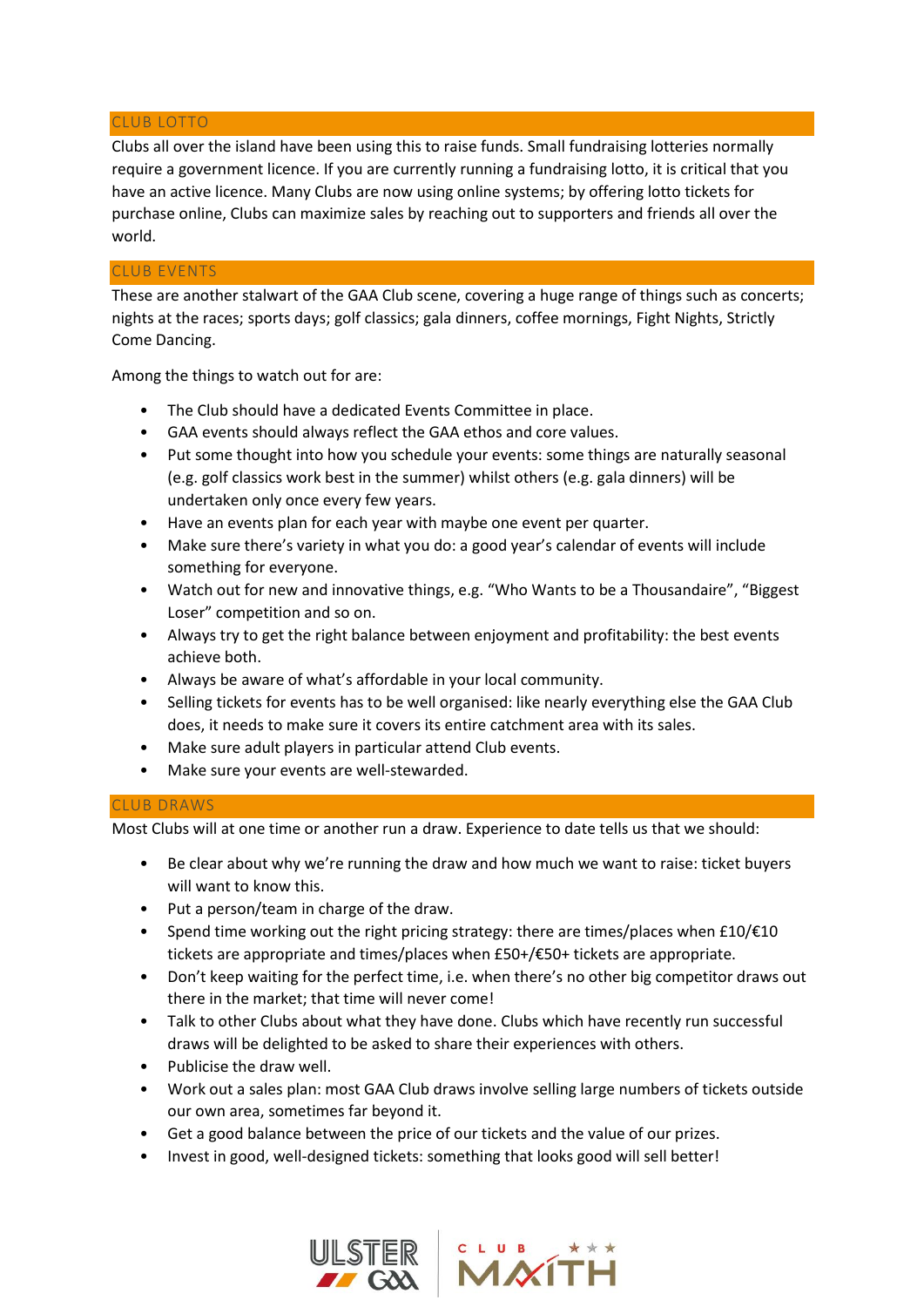#### CLUB LOTTO

Clubs all over the island have been using this to raise funds. Small fundraising lotteries normally require a government licence. If you are currently running a fundraising lotto, it is critical that you have an active licence. Many Clubs are now using online systems; by offering lotto tickets for purchase online, Clubs can maximize sales by reaching out to supporters and friends all over the world.

#### CLUB EVENTS

These are another stalwart of the GAA Club scene, covering a huge range of things such as concerts; nights at the races; sports days; golf classics; gala dinners, coffee mornings, Fight Nights, Strictly Come Dancing.

Among the things to watch out for are:

- The Club should have a dedicated Events Committee in place.
- GAA events should always reflect the GAA ethos and core values.
- Put some thought into how you schedule your events: some things are naturally seasonal (e.g. golf classics work best in the summer) whilst others (e.g. gala dinners) will be undertaken only once every few years.
- Have an events plan for each year with maybe one event per quarter.
- Make sure there's variety in what you do: a good year's calendar of events will include something for everyone.
- Watch out for new and innovative things, e.g. "Who Wants to be a Thousandaire", "Biggest Loser" competition and so on.
- Always try to get the right balance between enjoyment and profitability: the best events achieve both.
- Always be aware of what's affordable in your local community.
- Selling tickets for events has to be well organised: like nearly everything else the GAA Club does, it needs to make sure it covers its entire catchment area with its sales.
- Make sure adult players in particular attend Club events.
- Make sure your events are well-stewarded.

#### CLUB DRAWS

Most Clubs will at one time or another run a draw. Experience to date tells us that we should:

- Be clear about why we're running the draw and how much we want to raise: ticket buyers will want to know this.
- Put a person/team in charge of the draw.
- Spend time working out the right pricing strategy: there are times/places when  $£10/£10$ tickets are appropriate and times/places when £50+/€50+ tickets are appropriate.
- Don't keep waiting for the perfect time, i.e. when there's no other big competitor draws out there in the market; that time will never come!
- Talk to other Clubs about what they have done. Clubs which have recently run successful draws will be delighted to be asked to share their experiences with others.
- Publicise the draw well.
- Work out a sales plan: most GAA Club draws involve selling large numbers of tickets outside our own area, sometimes far beyond it.
- Get a good balance between the price of our tickets and the value of our prizes.
- Invest in good, well-designed tickets: something that looks good will sell better!



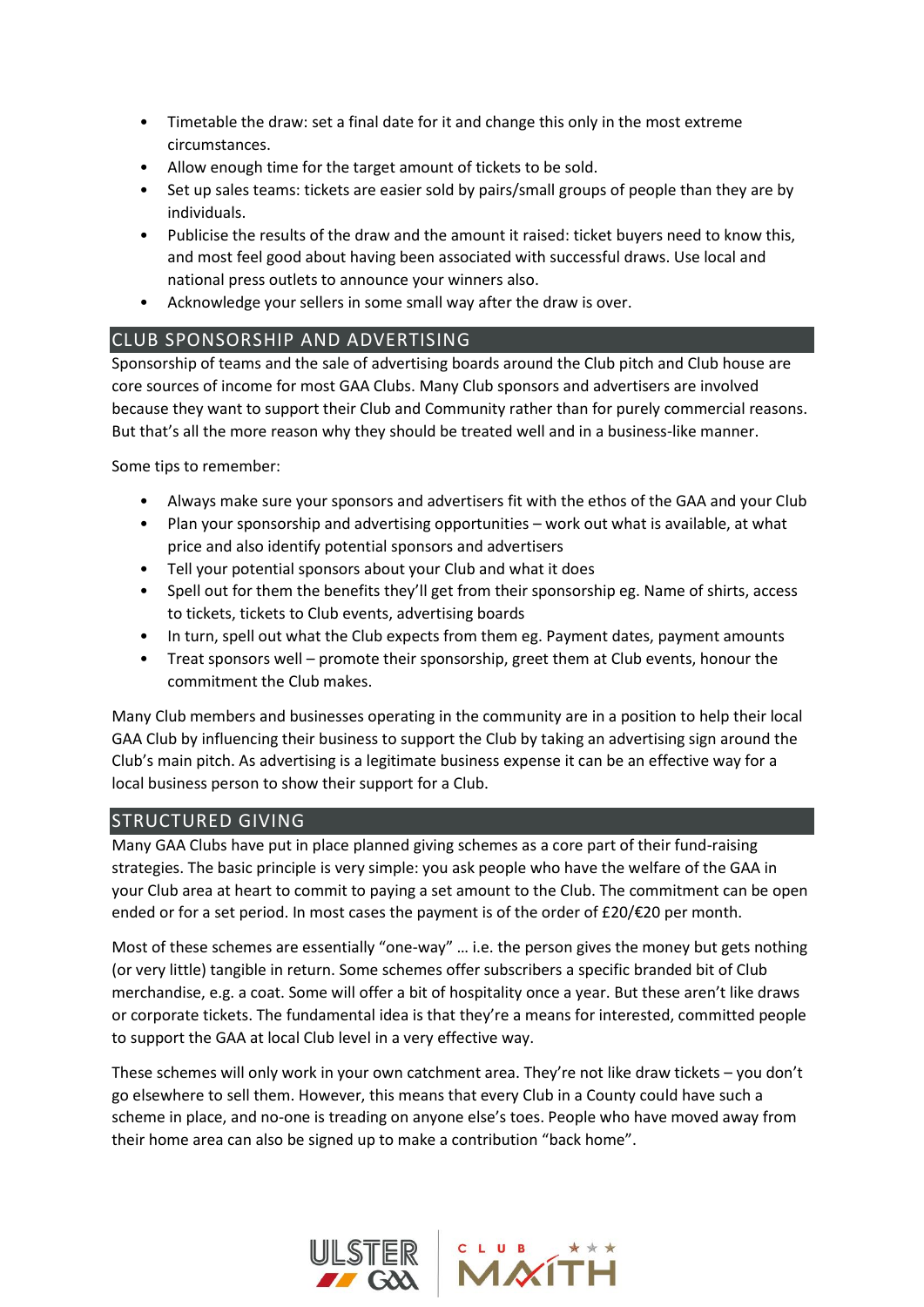- Timetable the draw: set a final date for it and change this only in the most extreme circumstances.
- Allow enough time for the target amount of tickets to be sold.
- Set up sales teams: tickets are easier sold by pairs/small groups of people than they are by individuals.
- Publicise the results of the draw and the amount it raised: ticket buyers need to know this, and most feel good about having been associated with successful draws. Use local and national press outlets to announce your winners also.
- Acknowledge your sellers in some small way after the draw is over.

# CLUB SPONSORSHIP AND ADVERTISING

Sponsorship of teams and the sale of advertising boards around the Club pitch and Club house are core sources of income for most GAA Clubs. Many Club sponsors and advertisers are involved because they want to support their Club and Community rather than for purely commercial reasons. But that's all the more reason why they should be treated well and in a business-like manner.

Some tips to remember:

- Always make sure your sponsors and advertisers fit with the ethos of the GAA and your Club
- Plan your sponsorship and advertising opportunities work out what is available, at what price and also identify potential sponsors and advertisers
- Tell your potential sponsors about your Club and what it does
- Spell out for them the benefits they'll get from their sponsorship eg. Name of shirts, access to tickets, tickets to Club events, advertising boards
- In turn, spell out what the Club expects from them eg. Payment dates, payment amounts
- Treat sponsors well promote their sponsorship, greet them at Club events, honour the commitment the Club makes.

Many Club members and businesses operating in the community are in a position to help their local GAA Club by influencing their business to support the Club by taking an advertising sign around the Club's main pitch. As advertising is a legitimate business expense it can be an effective way for a local business person to show their support for a Club.

# STRUCTURED GIVING

Many GAA Clubs have put in place planned giving schemes as a core part of their fund-raising strategies. The basic principle is very simple: you ask people who have the welfare of the GAA in your Club area at heart to commit to paying a set amount to the Club. The commitment can be open ended or for a set period. In most cases the payment is of the order of £20/€20 per month.

Most of these schemes are essentially "one-way" ... i.e. the person gives the money but gets nothing (or very little) tangible in return. Some schemes offer subscribers a specific branded bit of Club merchandise, e.g. a coat. Some will offer a bit of hospitality once a year. But these aren't like draws or corporate tickets. The fundamental idea is that they're a means for interested, committed people to support the GAA at local Club level in a very effective way.

These schemes will only work in your own catchment area. They're not like draw tickets – you don't go elsewhere to sell them. However, this means that every Club in a County could have such a scheme in place, and no-one is treading on anyone else's toes. People who have moved away from their home area can also be signed up to make a contribution "back home".